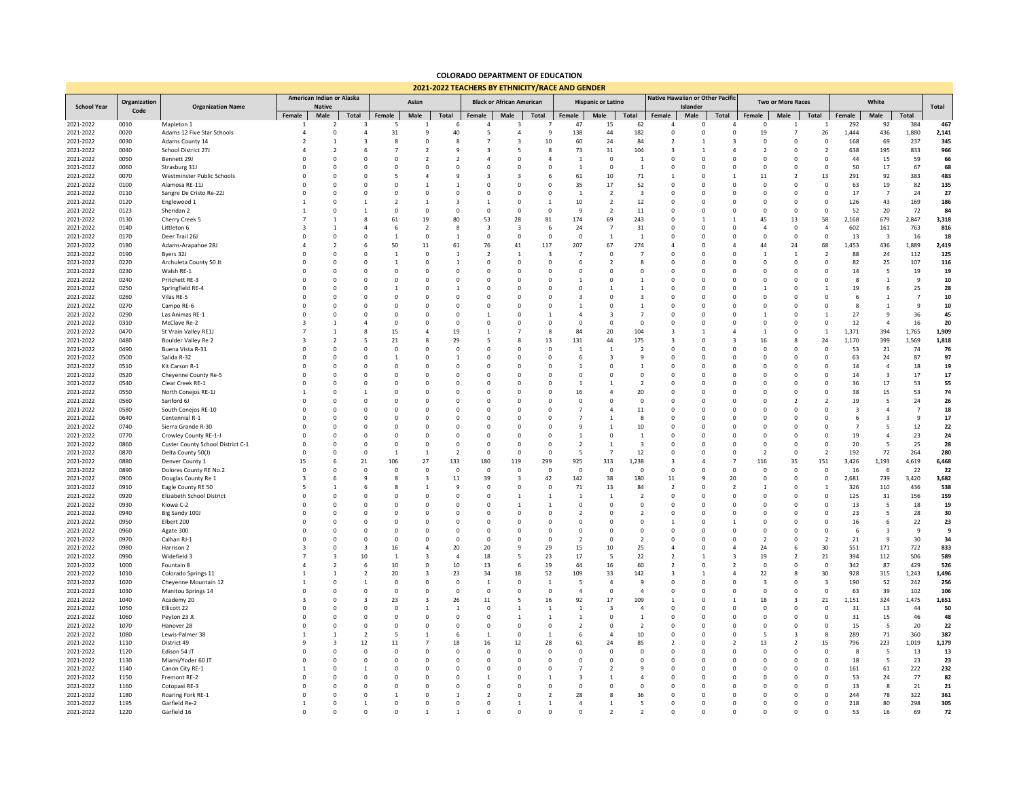## **COLORADO DEPARTMENT OF EDUCATION 2021-2022 TEACHERS BY ETHNICITY/RACE AND GENDER**

|                        |                      |                                        | American Indian or Alaska |                               | <b><i>EULI-LULL TEACHERS BT ETHINICITY INACE AIND GENDER</i></b> |                       |                            |                                  |                            |                          |                          |                                     |                                  | Native Hawaiian or Other Pacific |                            |                      |                             |                            |                              |                               |                    |                         |                      |             |
|------------------------|----------------------|----------------------------------------|---------------------------|-------------------------------|------------------------------------------------------------------|-----------------------|----------------------------|----------------------------------|----------------------------|--------------------------|--------------------------|-------------------------------------|----------------------------------|----------------------------------|----------------------------|----------------------|-----------------------------|----------------------------|------------------------------|-------------------------------|--------------------|-------------------------|----------------------|-------------|
| <b>School Year</b>     | Organization<br>Code | <b>Organization Name</b>               | <b>Native</b>             |                               | Asian                                                            |                       |                            | <b>Black or African American</b> |                            |                          |                          | <b>Hispanic or Latino</b>           |                                  |                                  | Islander                   |                      |                             | <b>Two or More Races</b>   |                              |                               | White              |                         |                      |             |
| 2021-2022              | 0010                 | Mapleton 1                             | Female                    | Male<br>2                     | Total<br>$\overline{\mathbf{3}}$                                 | Female<br>- 5         | Male<br>1                  | Total<br>-6                      | Female                     | Male<br>3                | Total                    | Female<br>47                        | Male<br>15                       | Total<br>62                      | Female<br>$\overline{4}$   | Male<br>$\Omega$     | Total<br>4                  | Female<br>$^{\circ}$       | Male<br>-1                   | Total<br>1                    | Female<br>292      | Male<br>92              | Total<br>384         | 467         |
| 2021-2022              | 0020                 | Adams 12 Five Star Schools             |                           | $\Omega$                      | $\overline{4}$                                                   | 31                    | $\mathbf{q}$               | 40                               | 5                          | $\overline{4}$           | -9                       | 138                                 | 44                               | 182                              | $\Omega$                   | $\Omega$             | $\Omega$                    | 19                         |                              | 26                            | 1,444              | 436                     | 1,880                | 2,141       |
| 2021-2022              | 0030                 | Adams County 14                        |                           | $\mathbf{1}$                  | $\overline{\mathbf{3}}$                                          | 8                     | $\mathbf 0$                | 8                                | $\overline{7}$             | 3                        | 10                       | 60                                  | 24                               | 84                               | $\overline{\phantom{a}}$   |                      | 3                           | $\mathbf 0$                | $^{\circ}$                   | $\mathbf{0}$                  | 168                | 69                      | 237                  | 345         |
| 2021-2022              | 0040                 | School District 27J                    |                           | $\overline{2}$                | 6                                                                |                       | $\overline{2}$             | 9                                | $\overline{3}$             | 5                        | -8                       | 73                                  | 31                               | 104                              | $\overline{\mathbf{3}}$    |                      | $\Delta$                    | $\overline{2}$             | $^{\circ}$                   | $\overline{2}$                | 638                | 195                     | 833                  | 966         |
| 2021-2022              | 0050                 | Bennett 29J                            |                           | $\mathbf 0$                   | $^{\circ}$                                                       | 0                     | $\overline{2}$             | $\overline{2}$                   | $\Delta$                   | $\circ$                  | $\Delta$                 | $\mathbf{1}$                        | $\mathsf 0$                      | $\mathbf{1}$                     | $^{\circ}$                 | $\Omega$             | $\mathbf 0$                 | $\mathbf 0$                | $^{\circ}$                   | 0                             | 44                 | 15                      | 59                   | 66          |
| 2021-2022              | 0060                 | Strasburg 31J                          |                           | $\mathbf 0$                   |                                                                  | $\Omega$              | 0                          | $\mathbf 0$                      | $\mathbf 0$                | $\circ$                  | $\Omega$                 | $\mathbf{1}$                        | $\mathsf 0$                      | $\overline{1}$                   | $^{\circ}$                 | $\Omega$             | $\mathbf 0$                 | $\mathbf 0$                | $^{\circ}$                   | $\mathbf 0$                   | 50                 | 17                      | 67                   | 68          |
| 2021-2022              | 0070                 | Westminster Public Schools             |                           | $\Omega$                      |                                                                  |                       | 4                          | 9                                | $\overline{3}$             | 3                        |                          | 61                                  | 10                               | $71\,$                           | $\mathbf{1}$               |                      | $\mathbf{1}$                | 11                         | $\mathcal{P}$                | 13                            | 291                | 92                      | 383                  | 483         |
| 2021-2022              | 0100                 | Alamosa RE-11J                         |                           | $\mathbf 0$<br>$\mathbf 0$    | $\Omega$<br>$\Omega$                                             | $\Omega$<br>$\Omega$  | $\mathbf{1}$<br>$\Omega$   | $\overline{1}$<br>$\Omega$       | $\overline{0}$<br>$\Omega$ | $\Omega$<br>$\Omega$     | $\Omega$<br>$\Omega$     | 35<br>$\overline{1}$                | 17                               | 52                               | $\Omega$<br>$\Omega$       | $\Omega$<br>$\Omega$ | $\mathbf 0$<br>$\Omega$     | $\mathbf 0$<br>$\Omega$    | $\mathbf 0$<br>$\Omega$      | $\overline{0}$<br>$\mathbf 0$ | 63<br>17           | 19<br>$\overline{7}$    | 82<br>24             | 135         |
| 2021-2022<br>2021-2022 | 0110<br>0120         | Sangre De Cristo Re-22J<br>Englewood 1 |                           | $\mathbf 0$                   | $\mathbf{1}$                                                     | $\mathcal{P}$         | $\mathbf{1}$               | $\overline{\mathbf{3}}$          | $\mathbf{1}$               | $^{\circ}$               | $\overline{1}$           | 10                                  | $\overline{2}$<br>$\overline{2}$ | $\overline{\mathbf{3}}$<br>12    | $\Omega$                   | $\Omega$             | $\mathbf 0$                 | $\mathbf 0$                | $\mathbf 0$                  | $\mathbf 0$                   | 126                | 43                      | 169                  | 27<br>186   |
| 2021-2022              | 0123                 | Sheridan <sub>2</sub>                  |                           | $\Omega$                      | $\overline{1}$                                                   | $\Omega$              | $\Omega$                   | $\Omega$                         | $\Omega$                   | $\Omega$                 | $\Omega$                 | $\mathsf{q}$                        | $\overline{2}$                   | 11                               | $\Omega$                   | $\Omega$             | $\Omega$                    | $\Omega$                   | $\Omega$                     | $\Omega$                      | 52                 | 20                      | 72                   | 84          |
| 2021-2022              | 0130                 | Cherry Creek 5                         |                           | $\mathbf{1}$                  | $\mathbf{\mathsf{R}}$                                            | 61                    | 19                         | 80                               | 53                         | 28                       | 81                       | 174                                 | 69                               | 243                              | $\Omega$                   |                      | $\mathbf{1}$                | 45                         | 13                           | 58                            | 2,168              | 679                     | 2,847                | 3,318       |
| 2021-2022              | 0140                 | Littleton 6                            |                           | $\mathbf{1}$                  | $\Delta$                                                         | 6                     | $\overline{2}$             | $\mathbf{8}$                     | $\overline{\mathbf{3}}$    | $\overline{\mathbf{3}}$  | -6                       | 24                                  | $\overline{7}$                   | 31                               | $\Omega$                   |                      | $\mathbf 0$                 | $\overline{4}$             | $\mathbf 0$                  | $\overline{4}$                | 602                | 161                     | 763                  | 816         |
| 2021-2022              | 0170                 | Deer Trail 26J                         |                           | $\mathbf 0$                   | $\Omega$                                                         | $\overline{1}$        | $\Omega$                   | $\mathbf{1}$                     | $\Omega$                   | $\mathbf 0$              | $\Omega$                 | $\mathbf 0$                         | $\mathbf{1}$                     | $\mathbf{1}$                     | $\Omega$                   | $\Omega$             | $\Omega$                    | $\mathbf 0$                | $\Omega$                     | $\overline{0}$                | 13                 | $\overline{\mathbf{3}}$ | 16                   | 18          |
| 2021-2022              | 0180                 | Adams-Arapahoe 28J                     |                           | $\overline{2}$                |                                                                  | 50                    | 11                         | 61                               | 76                         | 41                       | 117                      | 207                                 | 67                               | 274                              | $\overline{a}$             |                      | $\overline{a}$              | 44                         | 24                           | 68                            | 1,453              | 436                     | 1,889                | 2,419       |
| 2021-2022              | 0190                 | Byers 32J                              |                           | $\mathbf 0$                   | $\Omega$                                                         | $\overline{1}$        | $\mathbf 0$                | $\mathbf{1}$                     | $\overline{2}$             | $\mathbf{1}$             | $\mathbf{3}$             | $\overline{7}$                      | $\mathbf 0$                      | $\overline{7}$                   | $\Omega$                   |                      | $\Omega$                    | $\mathbf{1}$               | $\mathbf{1}$                 | $\overline{z}$                | 88                 | 24                      | 112                  | 125         |
| 2021-2022              | 0220                 | Archuleta County 50 Jt                 |                           | $\mathbf 0$                   | $\mathbf 0$                                                      | $\mathbf{1}$          | $\mathbf 0$                | $\mathbf{1}$                     | $^{\circ}$                 | $^{\circ}$               | $^{\circ}$               | 6                                   | $\overline{2}$                   | 8                                | $^{\circ}$                 |                      | $\mathbf 0$                 | $\mathbf 0$                | $^{\circ}$                   | $\mathbf 0$                   | 82                 | 25                      | 107                  | 116         |
| 2021-2022              | 0230                 | Walsh RE-1                             |                           | $\Omega$                      | $\Omega$                                                         | $\Omega$              | $\Omega$                   | $\Omega$                         | $\Omega$                   | $\Omega$                 | $\Omega$                 | $\Omega$                            | $\Omega$                         | $\Omega$                         | $\Omega$                   |                      | $\Omega$                    | $\Omega$                   | $\Omega$                     | $\Omega$                      | 14                 | 5                       | 19                   | 19          |
| 2021-2022              | 0240                 | Pritchett RE-3                         |                           | $^{\circ}$                    | $\Omega$                                                         | $\Omega$              | $\mathbf 0$                | $\Omega$                         | $\Omega$                   | $\Omega$                 | $\Omega$                 | $\mathbf{1}$                        | $\mathbf 0$                      | $\overline{1}$                   | $\Omega$                   |                      | $\mathbf 0$                 | $\mathbf 0$                | $\Omega$                     | $\mathbf 0$                   | 8                  | $\mathbf{1}$            | 9                    | 10          |
| 2021-2022              | 0250                 | Springfield RE-4                       |                           | $\mathbf 0$<br>$\overline{0}$ | $\Omega$<br>$\Omega$                                             | $\Omega$              | $\mathbf 0$<br>$\Omega$    | $\overline{1}$<br>$\Omega$       | $\Omega$<br>$\Omega$       | $\Omega$<br>$\Omega$     | $\Omega$<br>$\Omega$     | $\Omega$<br>$\overline{\mathbf{z}}$ | $\mathbf{1}$<br>$\Omega$         | $\overline{1}$<br>$\mathbf{3}$   | $\Omega$<br>$\Omega$       |                      | $\mathbf 0$<br>$\Omega$     | $\mathbf{1}$<br>$\Omega$   | $\Omega$<br>$\Omega$         | $\overline{1}$<br>$\Omega$    | 19<br>-6           | 6<br>$\mathbf{1}$       | 25<br>$\overline{7}$ | 28          |
| 2021-2022<br>2021-2022 | 0260<br>0270         | Vilas RE-5<br>Campo RE-6               |                           | $\mathbf 0$                   | $\mathbf 0$                                                      | $\Omega$              | $\mathbf 0$                | $\mathbf 0$                      | $\Omega$                   | $\Omega$                 | $\Omega$                 | $\mathbf{1}$                        | $\mathbf 0$                      | $\overline{1}$                   | $^{\circ}$                 |                      | $\mathbf 0$                 | $\mathbf 0$                | $\Omega$                     | $\mathbf 0$                   | 8                  | 1                       | 9                    | 10<br>10    |
| 2021-2022              | 0290                 | Las Animas RE-1                        |                           | $\mathbf 0$                   | $\Omega$                                                         | O                     | $\mathbf 0$                | $\mathbf 0$                      |                            | $\Omega$                 |                          | $\overline{a}$                      | $\overline{\mathbf{3}}$          | $\overline{7}$                   | $\Omega$                   |                      | $\circ$                     | $\mathbf{1}$               | $\Omega$                     | $\mathbf{1}$                  | 27                 | 9                       | 36                   | 45          |
| 2021-2022              | 0310                 | McClave Re-2                           |                           | $\mathbf{1}$                  | $\overline{4}$                                                   | $\Omega$              | 0                          | $\mathbf 0$                      | $^{\circ}$                 | $\circ$                  | $\mathbf 0$              | $\mathbf 0$                         | $\mathbf 0$                      | $\overline{0}$                   | $^{\circ}$                 |                      | $\mathbf 0$                 | $\mathbf 0$                | $\mathbf 0$                  | $\mathbf 0$                   | $12\,$             | $\overline{4}$          | 16                   | 20          |
| 2021-2022              | 0470                 | St Vrain Valley RE1J                   |                           | $\overline{1}$                | $\mathbf{8}$                                                     | 15                    | $\overline{a}$             | 19                               | $\overline{1}$             |                          | 8                        | 84                                  | 20                               | 104                              | $\overline{3}$             |                      |                             | $\overline{1}$             | $\Omega$                     | $\overline{1}$                | 1,371              | 394                     | 1,765                | 1,909       |
| 2021-2022              | 0480                 | Boulder Valley Re 2                    |                           | $\overline{2}$                | 5                                                                | 21                    | 8                          | 29                               | 5                          | ×                        | 13                       | 131                                 | 44                               | 175                              | $\overline{\mathbf{3}}$    |                      | $\overline{\mathbf{3}}$     | 16                         | 8                            | 24                            | 1,170              | 399                     | 1,569                | 1,818       |
| 2021-2022              | 0490                 | Buena Vista R-31                       |                           | $\Omega$                      | $\Omega$                                                         | $\Omega$              | $\Omega$                   | $\Omega$                         | $\Omega$                   | $\Omega$                 | $\Omega$                 | $\mathbf{1}$                        | $\overline{1}$                   | $\overline{z}$                   | $\Omega$                   |                      | $\Omega$                    | $\Omega$                   | $\Omega$                     | $\Omega$                      | 53                 | 21                      | 74                   | 76          |
| 2021-2022              | 0500                 | Salida R-32                            |                           | $\Omega$                      | $\Omega$                                                         | $\mathbf{1}$          | $\Omega$                   | $\mathbf{1}$                     | $\Omega$                   | $\Omega$                 | $\Omega$                 | 6                                   | $\overline{\mathbf{3}}$          | $\mathbf{q}$                     | $\Omega$                   | $\Omega$             | $\Omega$                    | $\Omega$                   | $\Omega$                     | $\Omega$                      | 63                 | 24                      | 87                   | 97          |
| 2021-2022              | 0510                 | Kit Carson R-1                         |                           | $\mathbf 0$                   | $\Omega$                                                         | $\Omega$              | $\mathbf 0$                | $\Omega$                         | $\Omega$                   | $\Omega$                 | $\Omega$                 | $\mathbf{1}$                        | $\mathbf 0$                      | $\overline{1}$                   | $\Omega$                   |                      | $\mathbf 0$                 | $\mathbf 0$                | $\Omega$                     | $\mathbf 0$                   | 14                 | $\overline{4}$          | 18                   | 19          |
| 2021-2022              | 0520                 | Cheyenne County Re-5                   |                           | $\mathbf 0$                   | $\Omega$                                                         | $\Omega$              | $\mathbf 0$                | $\Omega$                         | $\Omega$                   | $\Omega$                 | $\Omega$                 | $\Omega$                            | $\Omega$                         | $\overline{0}$                   | $\Omega$                   |                      | $\Omega$                    | $\mathbf 0$                | $\Omega$                     | $\Omega$                      | 14                 | $\overline{\mathbf{3}}$ | 17                   | 17          |
| 2021-2022              | 0540                 | Clear Creek RE-1                       |                           | $\mathbf 0$                   | $\mathbf 0$                                                      | $\Omega$              | 0                          | $\mathbf 0$                      | $\Omega$                   | $\mathbf 0$              | $\mathbf 0$              |                                     | $\mathbf{1}$                     | $\overline{2}$                   | $\mathbf 0$                |                      | $\mathbf 0$                 | $\mathbf 0$                | $\Omega$                     | $\mathbf 0$                   | 36                 | 17                      | 53                   | 55          |
| 2021-2022              | 0550                 | North Conejos RE-1J                    |                           | $\mathbf 0$                   | $\mathbf{1}$                                                     |                       | $\Omega$                   | $\Omega$                         | $\Omega$                   | $\Omega$                 | $\Omega$                 | 16                                  | $\overline{4}$                   | 20                               | $\Omega$                   |                      | $\Omega$                    | $\Omega$                   | $\Omega$                     | $\Omega$                      | 38                 | 15                      | 53                   | 74          |
| 2021-2022<br>2021-2022 | 0560<br>0580         | Sanford 6J<br>South Conejos RE-10      |                           | $\mathbf 0$<br>$\mathbf 0$    | $\mathbf 0$<br>$\Omega$                                          | $\Omega$<br>$\Omega$  | $\mathbf 0$<br>$\mathbf 0$ | $\mathbf 0$<br>$\Omega$          | $^{\circ}$<br>$\Omega$     | $\mathbf 0$<br>$\Omega$  | $\Omega$<br>$\Omega$     | $\mathbf 0$                         | $\mathbf 0$<br>$\overline{4}$    | $\overline{0}$<br>$11\,$         | $^{\circ}$<br>$\Omega$     |                      | $\mathbf 0$<br>$\mathbf 0$  | $\mathbf 0$<br>$\mathbf 0$ | $\mathcal{P}$<br>$\Omega$    | $\overline{2}$<br>$\Omega$    | 19<br>$\mathbf{3}$ | 5                       | 24<br>$\overline{7}$ | 26<br>18    |
| 2021-2022              | 0640                 | Centennial R-1                         |                           | $\Omega$                      | $\Omega$                                                         | $\Omega$              | $\Omega$                   | $\Omega$                         | $\Omega$                   | $\Omega$                 | $\Omega$                 |                                     | $\mathbf{1}$                     | $\mathbf{8}$                     | $\Omega$                   |                      | $\Omega$                    | $\Omega$                   | $\Omega$                     | $\Omega$                      | -6                 | 3                       | $\mathbf{q}$         | 17          |
| 2021-2022              | 0740                 | Sierra Grande R-30                     |                           | $\Omega$                      | $\Omega$                                                         | $\Omega$              | $\Omega$                   | $\Omega$                         | $\Omega$                   | $\Omega$                 | $\Omega$                 | q                                   | $\mathbf{1}$                     | 10                               | $\Omega$                   |                      | $\Omega$                    | $\mathbf 0$                | $\Omega$                     | $\Omega$                      | $\overline{7}$     | 5                       | $12\,$               | 22          |
| 2021-2022              | 0770                 | Crowley County RE-1-J                  |                           | $\mathbf 0$                   | $\Omega$                                                         | $\Omega$              | $^{\circ}$                 | $^{\circ}$                       | $\Omega$                   | $\Omega$                 | $\Omega$                 | $\mathbf{1}$                        | $\mathbf 0$                      | $\overline{1}$                   | $\Omega$                   |                      | $\circ$                     | $\mathbf 0$                | $\Omega$                     | $\Omega$                      | 19                 | 4                       | 23                   | 24          |
| 2021-2022              | 0860                 | Custer County School District C-1      |                           | $\mathbf 0$                   | $\mathbf 0$                                                      | $\mathbf 0$           | 0                          | $\mathbf 0$                      | $\overline{0}$             | $\mathbf 0$              | $\mathbf 0$              | $\overline{2}$                      | $\mathbf{1}$                     | $\overline{\mathbf{3}}$          | $^{\circ}$                 |                      | $\mathbf 0$                 | 0                          | $^{\circ}$                   | $\mathbf 0$                   | 20                 | 5                       | 25                   | 28          |
| 2021-2022              | 0870                 | Delta County 50(J)                     |                           | $\mathbf 0$                   | $\mathbf 0$                                                      |                       | $\mathbf{1}$               | $\overline{2}$                   | $\overline{0}$             | $\mathbf 0$              | $\mathbf 0$              | 5                                   | $\overline{7}$                   | 12                               | $^{\circ}$                 | $\Omega$             | $\mathbf 0$                 | $\overline{2}$             | $\mathbf 0$                  | $\overline{2}$                | 192                | 72                      | 264                  | 280         |
| 2021-2022              | 0880                 | Denver County 1                        | 15                        | 6                             | 21                                                               | 106                   | 27                         | 133                              | 180                        | 119                      | 299                      | 925                                 | 313                              | 1,238                            | $\overline{3}$             |                      | $\overline{7}$              | 116                        | 35                           | 151                           | 3,426              | 1,193                   | 4,619                | 6,468       |
| 2021-2022              | 0890                 | Dolores County RE No.2                 | $\Omega$                  | $\mathbf 0$                   | $\Omega$                                                         | $\Omega$              | $\mathbf 0$                | $\mathbf 0$                      | $\mathbf 0$                | $\mathbf 0$              | $\Omega$                 | $\overline{0}$                      | $\mathsf 0$                      | $\mathbf 0$                      | $\Omega$                   | $\Omega$             | $\mathbf 0$                 | $\mathbf 0$                | $\mathbf 0$                  | $\overline{0}$                | 16                 | 6                       | 22                   | 22          |
| 2021-2022              | 0900                 | Douglas County Re 1                    | २                         | 6                             | $\mathbf{Q}$                                                     | $\mathbf{\mathsf{R}}$ | $\overline{3}$             | $11\,$                           | 39                         | $\overline{3}$           | 42                       | 142                                 | 38                               | 180                              | 11                         |                      | 20                          | $\Omega$                   | $\Omega$                     | $\Omega$                      | 2,681              | 739                     | 3,420                | 3,682       |
| 2021-2022              | 0910                 | Eagle County RE 50                     |                           | $\overline{1}$                | 6                                                                | $\mathbf{8}$          | $\mathbf{1}$               | $\mathsf{q}$                     | $\Omega$                   | $\Omega$                 | $\Omega$                 | 71                                  | 13                               | 84                               | $\overline{\phantom{a}}$   | $\Omega$             | $\overline{2}$              | $\mathbf{1}$               | $\Omega$                     | $\overline{1}$                | 326                | 110                     | 436                  | 538         |
| 2021-2022              | 0920                 | Elizabeth School District              | $\Omega$<br>$\Omega$      | $\Omega$                      | $\Omega$                                                         | $\Omega$<br>$\Omega$  | $\Omega$                   | $\Omega$<br>$\Omega$             | $\Omega$                   | $\mathbf{1}$             | $\mathbf{1}$             | $\overline{1}$                      | $\mathbf{1}$                     | $\overline{z}$                   | $\Omega$                   | $\Omega$             | $\Omega$                    | $\Omega$                   | $\Omega$<br>$\Omega$         | $\Omega$                      | 125                | 31                      | 156                  | 159         |
| 2021-2022<br>2021-2022 | 0930<br>0940         | Kiowa C-2<br>Big Sandy 100J            | $\Omega$                  | $\mathbf 0$<br>$\Omega$       | $\Omega$<br>$\Omega$                                             | $\Omega$              | $\mathbf 0$<br>$\Omega$    | $\Omega$                         | $\Omega$<br>$\Omega$       | $\mathbf{1}$<br>$\Omega$ | $\mathbf{1}$<br>$\Omega$ | $\Omega$<br>$\mathcal{L}$           | $\mathbf 0$<br>$\mathbf 0$       | $\overline{0}$<br>$\overline{z}$ | $\Omega$<br>$\Omega$       | $\Omega$             | $\Omega$<br>$\Omega$        | $\mathbf 0$<br>$\Omega$    | $\Omega$                     | $\mathbf 0$<br>$\Omega$       | 13<br>23           | 5<br>5                  | 18<br>28             | 19<br>30    |
| 2021-2022              | 0950                 | Elbert 200                             | $\Omega$                  | $\mathbf 0$                   | $\Omega$                                                         | $\Omega$              | $\mathbf 0$                | $\mathbf 0$                      | $\overline{0}$             | $\mathbf 0$              | $\mathbf 0$              | $\mathbf 0$                         | 0                                | $\overline{0}$                   | $\mathbf{1}$               |                      | $\mathbf{1}$                | $\mathbf 0$                | $^{\circ}$                   | $\mathbf 0$                   | 16                 | 6                       | 22                   | 23          |
| 2021-2022              | 0960                 | Agate 300                              |                           | $\mathbf 0$                   |                                                                  | $\Omega$              | $\mathbf 0$                | $\mathbf 0$                      | $\Omega$                   | $\mathbf 0$              | $\mathbf 0$              | $\mathbf 0$                         | $\mathbf 0$                      | $\overline{0}$                   | $\Omega$                   |                      | $\mathbf 0$                 | $\mathbf 0$                | $\mathbf 0$                  | $\mathbf 0$                   | 6                  | $\overline{\mathbf{3}}$ | 9                    | 9           |
| 2021-2022              | 0970                 | Calhan RJ-1                            |                           | $\Omega$                      | $\Omega$                                                         | $\Omega$              | $\Omega$                   | $\Omega$                         | $\Omega$                   | $\Omega$                 | $\Omega$                 | $\mathcal{P}$                       | $\Omega$                         | $\overline{z}$                   |                            |                      | $\Omega$                    | $\mathcal{P}$              | $\Omega$                     | $\overline{2}$                | 21                 | $\mathbf{q}$            | 30                   | 34          |
| 2021-2022              | 0980                 | Harrison 2                             |                           | $\mathbf 0$                   | $\overline{\mathbf{3}}$                                          | 16                    | $\overline{4}$             | 20                               | 20                         | 9                        | 29                       | 15                                  | 10                               | 25                               | 4                          |                      | $\overline{a}$              | 24                         | 6                            | 30                            | 551                | 171                     | 722                  | 833         |
| 2021-2022              | 0990                 | Widefield 3                            |                           | $\overline{3}$                | 10                                                               | $\overline{1}$        | 3                          | $\overline{a}$                   | 18                         | -5                       | 23                       | 17                                  | 5                                | 22                               | $\overline{\phantom{a}}$   |                      | 3                           | 19                         | $\overline{\phantom{a}}$     | 21                            | 394                | 112                     | 506                  | 589         |
| 2021-2022              | 1000                 | Fountain 8                             |                           | $\overline{2}$                | 6                                                                | 10                    | $\mathbf 0$                | $10\,$                           | 13                         | 6                        | 19                       | 44                                  | 16                               | 60                               | $\overline{\phantom{a}}$   |                      | $\overline{2}$              | $^{\circ}$                 | $^{\circ}$                   | $\,$ 0                        | 342                | 87                      | 429                  | 526         |
| 2021-2022              | 1010                 | Colorado Springs 11                    |                           | $\mathbf{1}$                  | $\overline{2}$                                                   | 20                    | 3                          | 23                               | 34                         | 18                       | 52                       | 109                                 | 33                               | 142                              | $\mathbf{3}$               |                      | $\overline{a}$              | 22                         | 8                            | 30                            | 928                | 315                     | 1,243                | 1,496       |
| 2021-2022              | 1020                 | Cheyenne Mountain 12                   |                           | $\mathbf 0$                   | $\mathbf{1}$                                                     | $\mathbf 0$           | 0                          | $\mathbf 0$                      | $\overline{1}$             | $\mathsf 0$              | 1                        | 5                                   | $\overline{4}$                   | 9                                | $^{\circ}$                 |                      | 0                           | 3                          | $^{\circ}$                   | $\overline{\mathbf{3}}$       | 190                | 52                      | 242                  | 256         |
| 2021-2022              | 1030                 | Manitou Springs 14                     |                           | $\mathbf 0$<br>$\Omega$       | $\mathbf 0$<br>$\overline{3}$                                    | $\Omega$<br>23        | 0<br>$\overline{3}$        | $\mathbf 0$                      | $\overline{0}$             | $\mathbf 0$<br>5         | $\mathbf 0$<br>16        | $\overline{4}$<br>92                | $\mathbf 0$<br>17                | $\overline{4}$                   | $^{\circ}$<br>$\mathbf{1}$ |                      | $\mathbf 0$<br>$\mathbf{1}$ | $\mathbf 0$<br>18          | $^{\circ}$<br>$\overline{3}$ | $\overline{0}$                | 63                 | 39                      | 102                  | 106         |
| 2021-2022<br>2021-2022 | 1040<br>1050         | Academy 20<br>Ellicott 22              |                           | $\mathbf 0$                   | $\Omega$                                                         | $\Omega$              | $\mathbf{1}$               | 26<br>$\overline{1}$             | $11\,$<br>$\overline{0}$   | $\overline{1}$           | $\overline{1}$           | $\mathbf{1}$                        | $\overline{\mathbf{3}}$          | 109<br>$\overline{4}$            | $\Omega$                   |                      | $\mathbf 0$                 | $\mathbf 0$                | $\Omega$                     | $21\,$<br>$\overline{0}$      | 1,151<br>31        | 324<br>13               | 1,475<br>44          | 1,651<br>50 |
| 2021-2022              | 1060                 | Peyton 23 Jt                           |                           | $\Omega$                      | $\Omega$                                                         | $\Omega$              | $\Omega$                   | $\Omega$                         | $\Omega$                   | $\overline{1}$           | $\mathbf{1}$             | $\mathbf{1}$                        | $\Omega$                         | $\overline{1}$                   | $\Omega$                   |                      | $\Omega$                    | $\mathbf 0$                | $\Omega$                     | $\Omega$                      | 31                 | 15                      | 46                   | 48          |
| 2021-2022              | 1070                 | Hanover 28                             |                           | $\mathbf{0}$                  | $\mathbf 0$                                                      | $\Omega$              | $\mathbf 0$                | $\mathbf 0$                      | $\mathbf 0$                | $\mathbf 0$              | $\Omega$                 | $\overline{2}$                      | $\mathbf 0$                      | $\overline{2}$                   | $\Omega$                   |                      | $\mathbf 0$                 | $\mathsf 0$                | $\mathbf 0$                  | $\overline{0}$                | 15                 | 5                       | 20                   | 22          |
| 2021-2022              | 1080                 | Lewis-Palmer 38                        |                           | $\overline{1}$                | $\mathcal{L}$                                                    | 5                     | $\mathbf{1}$               | 6                                | $\overline{1}$             | $\Omega$                 | $\overline{1}$           | 6                                   | $\overline{a}$                   | 10                               | $\Omega$                   |                      | $\Omega$                    | 5                          | $\overline{3}$               | $\mathbf{8}$                  | 289                | 71                      | 360                  | 387         |
| 2021-2022              | 1110                 | District 49                            |                           | $\overline{\mathbf{3}}$       | 12                                                               | 11                    | $\overline{7}$             | 18                               | 16                         | 12                       | 28                       | 61                                  | 24                               | 85                               | $\mathcal{D}$              | $\Omega$             | $\mathcal{D}$               | 13                         | $\overline{\phantom{a}}$     | 15                            | 796                | 223                     | 1,019                | 1,179       |
| 2021-2022              | 1120                 | Edison 54 JT                           |                           | $\mathbf{0}$                  | $\Omega$                                                         | $\Omega$              | $\mathbf 0$                | $\Omega$                         | $\Omega$                   | $\Omega$                 | $\Omega$                 | $\Omega$                            | $\mathbf 0$                      | $\Omega$                         | $\Omega$                   | $\Omega$             | $\Omega$                    | $\mathbf 0$                | $\Omega$                     | $\overline{0}$                | 8                  | 5                       | 13                   | 13          |
| 2021-2022              | 1130                 | Miami/Yoder 60 JT                      |                           | $\mathbf{0}$                  | $\Omega$                                                         | $\Omega$              | $\mathbf 0$                | $\Omega$                         | $\Omega$                   | $\Omega$                 | $\Omega$                 | $\Omega$                            | $\Omega$                         | $\Omega$                         | $\Omega$                   | $\Omega$             | $\Omega$                    | $\mathbf 0$                | $\Omega$                     | $\mathbf 0$                   | 18                 | 5                       | 23                   | 23          |
| 2021-2022              | 1140                 | Canon City RE-1                        |                           | $\mathbf 0$                   |                                                                  | $\Omega$              | 0                          | $\mathbf 0$                      | $\Omega$                   | $\mathbf 0$              | $\mathbf 0$              |                                     | $\overline{2}$                   | 9                                | $\mathbf 0$                |                      | $\mathbf 0$                 | $\mathbf 0$                | $\Omega$                     | $\mathbf 0$                   | 161                | 61                      | 222                  | 232         |
| 2021-2022              | 1150                 | Fremont RE-2                           |                           | $\Omega$                      | $\Omega$                                                         |                       | $\Omega$                   | $\Omega$                         |                            | $\Omega$                 |                          | 3                                   | $\mathbf{1}$                     | $\overline{4}$                   | $\Omega$                   |                      | $\Omega$                    | $\Omega$                   |                              | $\Omega$                      | 53                 | 24                      | 77                   | 82          |
| 2021-2022              | 1160                 | Cotopaxi RE-3                          |                           | $\mathbf 0$<br>$\Omega$       | $\Omega$                                                         | $\Omega$              | 0                          | $\Omega$                         | $^{\circ}$                 | $\Omega$                 | $\Omega$                 | $\Omega$<br>28                      | $\mathbf 0$                      | $\overline{0}$                   | $\Omega$                   |                      | $\mathbf 0$                 | $\mathbf 0$<br>$\Omega$    | $\Omega$                     | $\Omega$                      | 13<br>244          | 8                       | 21                   | 21          |
| 2021-2022<br>2021-2022 | 1180<br>1195         | Roaring Fork RE-1<br>Garfield Re-2     |                           | $\Omega$                      | $\Omega$                                                         |                       | $\Omega$<br>$\Omega$       | $\mathbf{1}$<br>$\Omega$         | 2                          | O                        | $\mathcal{P}$            | Λ                                   | $\mathbf{8}$<br>$\mathbf{1}$     | 36<br>5                          | $\Omega$<br>$\Omega$       |                      | $\Omega$<br>O               | $\Omega$                   | $\Omega$                     | $\Omega$<br>$\Omega$          | 218                | 78<br>80                | 322<br>298           | 361<br>305  |
| 2021-2022              | 1220                 | Garfield 16                            |                           |                               |                                                                  |                       |                            |                                  |                            |                          | $\Omega$                 |                                     | $\mathcal{L}$                    |                                  |                            |                      |                             | $\Omega$                   |                              |                               | 53                 | 16                      | 69                   | 72          |
|                        |                      |                                        |                           |                               |                                                                  |                       |                            |                                  |                            |                          |                          |                                     |                                  |                                  |                            |                      |                             |                            |                              |                               |                    |                         |                      |             |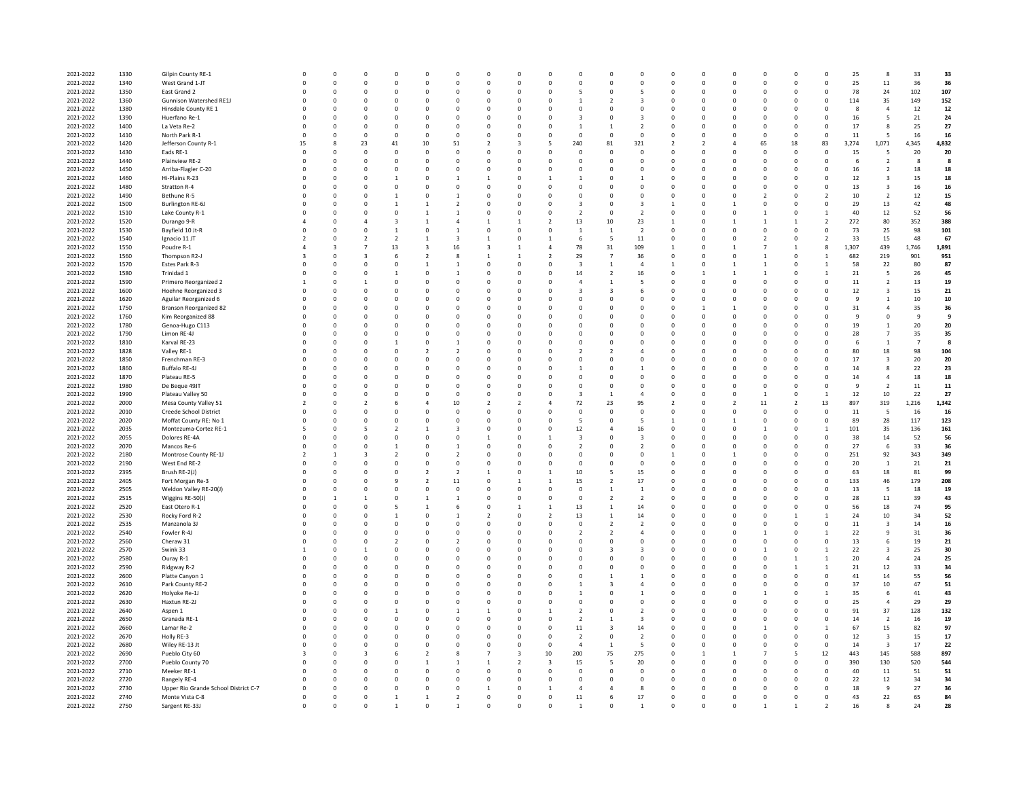| 2021-2022 | 1330 | Gilpin County RE-1                   |                          | $\Omega$                | $^{\circ}$              |                          | $\Omega$       | $\mathbf 0$             | $\Omega$       | $\Omega$       | $\Omega$                | $\Omega$                 | n                       | $^{\circ}$              | $^{\circ}$               | O             | $\Omega$               |                          | O              | $\mathbf 0$      | 25             | 8                        | 33             | 33    |
|-----------|------|--------------------------------------|--------------------------|-------------------------|-------------------------|--------------------------|----------------|-------------------------|----------------|----------------|-------------------------|--------------------------|-------------------------|-------------------------|--------------------------|---------------|------------------------|--------------------------|----------------|------------------|----------------|--------------------------|----------------|-------|
|           |      |                                      |                          |                         |                         |                          |                |                         |                |                |                         |                          |                         |                         |                          |               |                        |                          |                |                  |                |                          |                |       |
| 2021-2022 | 1340 | West Grand 1-JT                      | $\Omega$                 | $\Omega$                | $\Omega$                | $\Omega$                 | $\Omega$       | $\mathsf{o}\,$          | $\Omega$       | $\Omega$       | $\Omega$                | $\Omega$                 | $\Omega$                | $\mathsf 0$             | $\mathbf 0$              | $\Omega$      | $\Omega$               | $\mathbf 0$              | $\Omega$       | $\mathbf 0$      | 25             | ${\bf 11}$               | 36             | 36    |
|           | 1350 |                                      | $\Omega$                 | $\Omega$                | $\Omega$                | $\Omega$                 | $\Omega$       | $\mathbf 0$             | $\Omega$       | $\Omega$       | $\Omega$                |                          | $\Omega$                | 5                       | $^{\circ}$               | $\Omega$      | $\Omega$               | $^{\circ}$               | $\Omega$       | $^{\circ}$       | 78             | 24                       | 102            | 107   |
| 2021-2022 |      | East Grand 2                         |                          |                         |                         |                          |                |                         |                |                |                         |                          |                         |                         |                          |               |                        |                          |                |                  |                |                          |                |       |
| 2021-2022 | 1360 | Gunnison Watershed RE1J              | $\Omega$                 | $\mathbf{0}$            | $\Omega$                | $\Omega$                 | $\mathbf 0$    | $\mathbf 0$             | $\Omega$       | $^{\circ}$     | $\Omega$                |                          | $\mathcal{L}$           | 3                       | $^{\circ}$               | $\Omega$      | $\Omega$               | $^{\circ}$               | $\Omega$       | $^{\circ}$       | 114            | 35                       | 149            | 152   |
|           |      |                                      |                          |                         |                         |                          |                |                         |                |                |                         |                          |                         |                         |                          |               |                        |                          |                |                  |                |                          |                |       |
| 2021-2022 | 1380 | Hinsdale County RE 1                 | $\Omega$                 | $\mathbf{0}$            | $^{\circ}$              | $\Omega$                 | $\mathbf 0$    | 0                       | $\Omega$       | $^{\circ}$     | $\mathbf 0$             | $\Omega$                 | $\mathbf 0$             | 0                       | $^{\circ}$               | $\Omega$      | $\Omega$               | $\mathbf{0}$             | $^{\circ}$     | $\mathbf 0$      | -8             | $\overline{4}$           | 12             | 12    |
| 2021-2022 | 1390 | Huerfano Re-1                        | $\Omega$                 | $\mathbf{0}$            | $^{\circ}$              | $\Omega$                 | $\mathbf 0$    | 0                       | $\Omega$       | $^{\circ}$     | $^{\circ}$              |                          | $\circ$                 | $\overline{\mathbf{3}}$ | $^{\circ}$               | $\Omega$      | $\Omega$               | $\mathbf{0}$             | $^{\circ}$     | $\mathbf 0$      | 16             | 5                        | 21             | 24    |
|           |      |                                      |                          |                         |                         |                          |                |                         |                |                |                         |                          |                         |                         |                          |               |                        |                          |                |                  |                |                          |                |       |
| 2021-2022 | 1400 | La Veta Re-2                         | $\Omega$                 | $\mathbf{0}$            | $^{\circ}$              | $\Omega$                 | $\mathbf 0$    | 0                       | $^{\circ}$     | $^{\circ}$     | $\mathbf 0$             |                          | $\mathbf{1}$            | $\overline{2}$          | $^{\circ}$               | $\Omega$      | $\mathbf 0$            | $\mathbf 0$              | $^{\circ}$     | $\mathbf 0$      | 17             | 8                        | 25             | 27    |
| 2021-2022 | 1410 | North Park R-1                       | $\Omega$                 | $\Omega$                | $\Omega$                | $\Omega$                 | $\Omega$       | $\Omega$                | $\Omega$       | $\Omega$       | $\Omega$                | $\Omega$                 | $\Omega$                | $\Omega$                | $\Omega$                 | $\Omega$      | $\Omega$               | $\Omega$                 | $\Omega$       | $\mathbf 0$      | 11             | 5                        | 16             | 16    |
|           |      |                                      |                          |                         |                         |                          |                |                         |                |                |                         |                          |                         |                         |                          |               |                        |                          |                |                  |                |                          |                |       |
| 2021-2022 | 1420 | Jefferson County R-1                 | 15                       | 8                       | 23                      | 41                       | $10\,$         | 51                      | $\overline{2}$ | $\overline{3}$ | 5                       | 240                      | 81                      | 321                     | $\overline{\phantom{a}}$ | $\mathcal{P}$ | $\boldsymbol{\Lambda}$ | 65                       | 18             | 83               | 3,274          | 1,071                    | 4,345          | 4,832 |
|           |      |                                      |                          |                         |                         |                          |                |                         |                |                |                         |                          |                         |                         |                          | $\Omega$      |                        |                          |                |                  |                |                          |                |       |
| 2021-2022 | 1430 | Eads RE-1                            | $\Omega$                 | $\mathbf{0}$            | $^{\circ}$              | $\Omega$                 | $\mathbf 0$    | $\mathbf 0$             | $\Omega$       | $^{\circ}$     | $^{\circ}$              | $\Omega$                 | $\mathbf 0$             | $^{\circ}$              | $^{\circ}$               |               | $\Omega$               | $\Omega$                 | $\mathbf 0$    | $^{\circ}$       | 15             | 5                        | 20             | 20    |
| 2021-2022 | 1440 | Plainview RE-2                       | $\Omega$                 | $\mathbf{0}$            | $\Omega$                | $\Omega$                 | $\mathbf 0$    | $\mathbf 0$             | $\Omega$       | $^{\circ}$     | $\mathbf 0$             | $\Omega$                 | $\mathbf 0$             | $\mathbf 0$             | $^{\circ}$               | $\Omega$      | $\Omega$               | $^{\circ}$               | $\mathbf 0$    | $\mathsf 0$      | 6              | $\overline{2}$           | 8              | -8    |
|           |      |                                      |                          |                         |                         |                          |                |                         |                |                |                         |                          |                         |                         |                          |               |                        |                          |                |                  |                |                          |                |       |
| 2021-2022 | 1450 | Arriba-Flagler C-20                  | $\Omega$                 | $\mathbf{0}$            | $\mathbf 0$             | $\Omega$                 | $\mathbf 0$    | $\mathbf 0$             | $\Omega$       | $^{\circ}$     | $^{\circ}$              | $\Omega$                 | $\mathbf 0$             | 0                       | $^{\circ}$               | $\Omega$      | $\Omega$               | $^{\circ}$               | $\mathbf 0$    | $\mathbf 0$      | 16             | $\overline{2}$           | 18             | 18    |
|           |      |                                      | $\Omega$                 | $\mathbf{0}$            |                         |                          | $\mathbf 0$    |                         |                |                |                         |                          |                         |                         | $^{\circ}$               | $\Omega$      | $\Omega$               |                          |                |                  |                |                          |                |       |
| 2021-2022 | 1460 | Hi-Plains R-23                       |                          |                         | $^{\circ}$              |                          |                | 1                       |                | $\mathbf 0$    | $\mathbf{1}$            |                          | $\circ$                 | 1                       |                          |               |                        | $\mathbf 0$              | $^{\circ}$     | $\mathbf 0$      | 12             | $\overline{\mathbf{3}}$  | 15             | 18    |
| 2021-2022 | 1480 | Stratton R-4                         |                          | $\mathbf{0}$            | $^{\circ}$              | $\Omega$                 | 0              | $\mathbf 0$             | $\Omega$       | $^{\circ}$     | $^{\circ}$              | $\Omega$                 | $\mathbf 0$             | 0                       | $^{\circ}$               | $\Omega$      | $\mathbf 0$            | $\mathbf 0$              | $^{\circ}$     | $\mathbf 0$      | 13             | $\overline{\mathbf{3}}$  | 16             | 16    |
|           |      |                                      |                          |                         |                         |                          |                |                         |                |                |                         |                          |                         |                         |                          |               |                        |                          |                |                  |                |                          |                |       |
| 2021-2022 | 1490 | Bethune R-5                          | $\Omega$                 | $\mathbf 0$             | $\Omega$                |                          | $\Omega$       | $\mathbf{1}$            | $\Omega$       | $\mathbf 0$    | $\Omega$                | $\Omega$                 | $\Omega$                | $\mathsf{o}\,$          | $\Omega$                 | $\Omega$      | $\Omega$               | $\overline{\phantom{a}}$ | O              | $\boldsymbol{2}$ | 10             | $\overline{2}$           | 12             | 15    |
| 2021-2022 | 1500 | Burlington RE-6J                     |                          | $\overline{0}$          | $\Omega$                |                          |                | $\overline{2}$          | $\Omega$       | $\mathbf 0$    | $\mathbf 0$             |                          | $\Omega$                | $\overline{\mathbf{3}}$ |                          | $\Omega$      | $\overline{1}$         | $\Omega$                 | $\Omega$       | $\mathbf 0$      | 29             | 13                       | 42             | 48    |
|           |      |                                      |                          |                         |                         |                          |                |                         |                |                |                         |                          |                         |                         |                          |               |                        |                          |                |                  |                |                          |                |       |
| 2021-2022 | 1510 | Lake County R-1                      |                          | $\overline{0}$          | $\Omega$                |                          |                | $\mathbf{1}$            | $\Omega$       | $\mathbf 0$    | $\mathbf 0$             | $\overline{\phantom{a}}$ | $\mathbf 0$             | $\overline{2}$          | $^{\circ}$               | $\Omega$      | $\mathbf 0$            |                          | 0              | $\mathbf{1}$     | 40             | $12\,$                   | 52             | 56    |
|           |      |                                      |                          |                         |                         |                          |                |                         |                |                |                         |                          |                         |                         |                          |               |                        |                          |                |                  |                |                          |                |       |
| 2021-2022 | 1520 | Durango 9-R                          |                          | $\overline{0}$          | 4                       |                          |                | $\overline{4}$          |                | $\mathbf{1}$   | $\overline{2}$          | 13                       | 10                      | 23                      |                          | $\Omega$      | $\mathbf{1}$           |                          |                | $\overline{2}$   | 272            | 80                       | 352            | 388   |
| 2021-2022 | 1530 | Bayfield 10 Jt-R                     |                          | $\mathbf 0$             | $\mathbf 0$             |                          | 0              | $\mathbf{1}$            |                | $\circ$        | $\mathbf 0$             | $\mathbf{1}$             | $\mathbf{1}$            | $\overline{2}$          | $^{\circ}$               | $\Omega$      | $\circ$                |                          |                | $\mathbf 0$      | 73             | 25                       | 98             | 101   |
|           |      |                                      |                          |                         |                         |                          |                |                         |                |                |                         |                          |                         |                         |                          |               |                        |                          |                |                  |                |                          |                |       |
| 2021-2022 | 1540 | Ignacio 11 JT                        |                          | $\mathbf{0}$            | $\overline{2}$          |                          | $\mathbf{1}$   | $\overline{\mathbf{3}}$ |                | $\circ$        | $\overline{1}$          | 6                        | 5                       | $11\,$                  | $^{\circ}$               | $\mathbf 0$   | $\circ$                |                          | 0              | $\overline{2}$   | 33             | 15                       | 48             | 67    |
| 2021-2022 | 1550 | Poudre R-1                           |                          | $\overline{\mathbf{3}}$ | $\overline{7}$          | 13                       | 3              | $16\,$                  | २              | $\mathbf{1}$   | $\overline{4}$          | 78                       | 31                      | 109                     | $\mathbf{1}$             | $\Omega$      | $\mathbf{1}$           |                          |                | 8                | 1,307          | 439                      | 1,746          | 1,891 |
|           |      |                                      |                          |                         |                         |                          |                |                         |                |                |                         |                          |                         |                         |                          |               |                        |                          |                |                  |                |                          |                |       |
| 2021-2022 | 1560 | Thompson R2-J                        |                          | $\overline{0}$          | $\overline{3}$          | 6                        | $\overline{2}$ | 8                       |                | $\mathbf{1}$   | $\overline{2}$          | 29                       | $\overline{7}$          | 36                      | $\Omega$                 | $\Omega$      | $\Omega$               |                          | $\Omega$       | $\overline{1}$   | 682            | 219                      | 901            | 951   |
|           |      |                                      |                          |                         |                         |                          |                |                         |                |                |                         |                          |                         |                         |                          |               |                        |                          |                |                  |                |                          |                |       |
| 2021-2022 | 1570 | Estes Park R-3                       | $\Omega$                 | $\overline{0}$          | $\Omega$                | $\Omega$                 | $\mathbf{1}$   | $\mathbf{1}$            | $\Omega$       | $\mathbf 0$    | $\mathbf 0$             | $\overline{\mathbf{3}}$  | $\overline{1}$          | $\overline{4}$          |                          | $\Omega$      | $\mathbf{1}$           |                          | $\Omega$       | $\mathbf{1}$     | 58             | 22                       | 80             | 87    |
| 2021-2022 | 1580 | Trinidad 1                           |                          | $\overline{0}$          | $\mathbf 0$             |                          | 0              | $\mathbf{1}$            | $\Omega$       | $\mathbf 0$    | $\mathbf 0$             | 14                       | $\overline{2}$          | 16                      | $^{\circ}$               |               | $\mathbf{1}$           |                          | 0              | $\mathbf{1}$     | 21             | 5                        | 26             | 45    |
|           |      |                                      |                          |                         |                         |                          |                |                         |                |                |                         |                          |                         |                         |                          |               |                        |                          |                |                  |                |                          |                |       |
| 2021-2022 | 1590 | Primero Reorganized 2                |                          | $\overline{0}$          | $\mathbf{1}$            | $\Omega$                 | 0              | $\mathbf 0$             | $^{\circ}$     | $\mathbf 0$    | $\mathbf 0$             | $\overline{4}$           | $\overline{1}$          | 5                       | $^{\circ}$               | $\Omega$      | $\mathbf 0$            | $\mathbf 0$              | 0              | $\mathbf 0$      | 11             | $\overline{2}$           | 13             | 19    |
|           |      |                                      |                          |                         |                         |                          |                |                         |                |                |                         |                          |                         |                         |                          |               |                        |                          |                |                  |                |                          |                |       |
| 2021-2022 | 1600 | Hoehne Reorganized 3                 |                          | $\mathbf{0}$            | $\mathbf 0$             |                          | 0              | $\mathbf 0$             | $^{\circ}$     | $\mathbf 0$    | $\mathbf 0$             |                          | $\overline{\mathbf{3}}$ | 6                       | $^{\circ}$               | $\mathbf 0$   | $\circ$                | $\mathbf 0$              | 0              | $\mathbf 0$      | 12             | $\overline{\mathbf{3}}$  | 15             | 21    |
| 2021-2022 | 1620 | Aguilar Reorganized 6                |                          | $\mathbf{0}$            | $\mathbf 0$             |                          | 0              | $\mathbf 0$             | $^{\circ}$     | $\circ$        | $\mathbf 0$             |                          | 0                       | $\mathbf 0$             | $^{\circ}$               | $\mathbf 0$   | $\circ$                | $\mathbf 0$              | 0              | $\mathbf 0$      | 9              | $\mathbf{1}$             | $10\,$         | 10    |
|           |      |                                      |                          |                         |                         |                          |                |                         |                |                |                         |                          |                         |                         |                          |               |                        |                          |                |                  |                |                          |                |       |
| 2021-2022 | 1750 | <b>Branson Reorganized 82</b>        |                          | $\Omega$                | $\Omega$                |                          | $\Omega$       | $\Omega$                | $\Omega$       | $\Omega$       | $\mathfrak{g}$          |                          | Ò                       | $\mathsf 0$             | $\Omega$                 |               | $\mathbf{1}$           | $\Omega$                 | $\Omega$       | $\Omega$         | 31             | $\overline{4}$           | 35             | 36    |
| 2021-2022 | 1760 | Kim Reorganized 88                   |                          | $\overline{0}$          | $\Omega$                |                          | $\Omega$       | $\Omega$                | $\Omega$       | $\Omega$       | $\mathfrak{g}$          | $\Omega$                 | $\Omega$                | $\mathbf 0$             | $\Omega$                 | $\Omega$      | $\Omega$               | $\Omega$                 | $\Omega$       | $\mathbf 0$      | $\overline{9}$ | $\mathbf 0$              | $\mathbf{q}$   | -9    |
|           |      |                                      |                          |                         |                         |                          |                |                         |                |                |                         |                          |                         |                         |                          |               |                        |                          |                |                  |                |                          |                |       |
| 2021-2022 | 1780 | Genoa-Hugo C113                      |                          | $\overline{0}$          | $\Omega$                |                          | $\Omega$       | $\mathbf 0$             | $\Omega$       | $\Omega$       | $\Omega$                |                          | $\Omega$                | $\mathbf 0$             | $\Omega$                 | $\Omega$      | $\Omega$               | $\Omega$                 | $\Omega$       | $\mathbf 0$      | 19             | $\mathbf{1}$             | 20             | 20    |
|           |      |                                      |                          |                         |                         |                          |                |                         |                |                |                         |                          |                         |                         |                          |               |                        |                          |                |                  |                |                          |                |       |
| 2021-2022 | 1790 | Limon RE-4J                          | $\Omega$                 | $\overline{0}$          | $\Omega$                |                          | $\Omega$       | $\mathbf 0$             | $\Omega$       | $\Omega$       | $\Omega$                | $\Omega$                 | $\Omega$                | $\mathbf 0$             | $\Omega$                 | $\Omega$      | $\Omega$               | $\Omega$                 | $\Omega$       | $\mathbf 0$      | 28             | $\overline{7}$           | 35             | 35    |
| 2021-2022 | 1810 | Karval RE-23                         | $\Omega$                 | $\overline{0}$          | $\Omega$                |                          | $\Omega$       | $\mathbf{1}$            | $\Omega$       | $\Omega$       | $\Omega$                | $\Omega$                 | $\Omega$                | $\mathsf 0$             | $\Omega$                 | $\Omega$      | $\Omega$               | $\Omega$                 | $\Omega$       | $\mathsf 0$      | 6              | $\mathbf{1}$             | $\overline{7}$ | -8    |
|           |      |                                      |                          |                         |                         |                          |                |                         |                |                |                         |                          |                         |                         |                          |               |                        |                          |                |                  |                |                          |                |       |
| 2021-2022 | 1828 | Valley RE-1                          |                          | $\mathbf{0}$            | $\mathbf 0$             |                          | $\overline{2}$ | $\overline{2}$          | $^{\circ}$     | $\circ$        | $\mathbf 0$             |                          | $\overline{a}$          | $\overline{4}$          | $^{\circ}$               | $\mathbf 0$   | $^{\circ}$             | $\mathbf 0$              | 0              | $\mathbf 0$      | 80             | $18\,$                   | 98             | 104   |
| 2021-2022 | 1850 | Frenchman RE-3                       |                          | $\overline{0}$          | $\mathbf 0$             |                          | $\mathbf 0$    | $\mathbf 0$             | $\mathbf 0$    | $\circ$        | $\mathbf 0$             |                          | $\circ$                 | $\mathsf 0$             | $\mathbf 0$              | $\mathbf 0$   | $^{\circ}$             | $\mathbf 0$              | $\overline{0}$ | $\pmb{0}$        | 17             | $\overline{\mathbf{3}}$  | 20             | 20    |
|           |      |                                      |                          |                         |                         |                          |                |                         |                |                |                         |                          |                         |                         |                          |               |                        |                          |                |                  |                |                          |                |       |
| 2021-2022 | 1860 | Buffalo RE-4J                        |                          | $\Omega$                | $\Omega$                |                          | $\Omega$       | $\Omega$                | $\Omega$       | $\Omega$       | $\mathfrak{g}$          |                          | Ò                       | $\overline{1}$          | $\Omega$                 | $\Omega$      | $\Omega$               | $\Omega$                 | $\Omega$       | $\mathbf 0$      | 14             | 8                        | 22             | 23    |
|           |      |                                      |                          |                         |                         |                          |                |                         |                |                |                         |                          |                         |                         |                          |               |                        |                          |                |                  |                |                          |                |       |
| 2021-2022 | 1870 | Plateau RE-5                         |                          | $\overline{0}$          | $\Omega$                |                          | $\Omega$       | $\mathbf 0$             | $\Omega$       | $\Omega$       | $\mathfrak{g}$          | $\Omega$                 | $\Omega$                | $\mathsf 0$             | $\Omega$                 | $\Omega$      | $\Omega$               | $\Omega$                 | $\Omega$       | $\mathbf 0$      | 14             | $\overline{4}$           | 18             | 18    |
| 2021-2022 | 1980 | De Beque 49JT                        |                          | $\overline{0}$          | $\Omega$                |                          | $\Omega$       | $\mathbf 0$             | $\Omega$       | $\Omega$       | $\Omega$                | $\Omega$                 | $\Omega$                | $\mathsf 0$             | $\Omega$                 | $\Omega$      | $\Omega$               | $\Omega$                 | $\Omega$       | $\mathbf 0$      | 9              | $\overline{2}$           | 11             | 11    |
|           |      |                                      |                          |                         |                         |                          |                |                         |                |                |                         |                          |                         |                         |                          |               |                        |                          |                |                  |                |                          |                |       |
| 2021-2022 | 1990 | Plateau Valley 50                    | $\Omega$                 | $\overline{0}$          | $\Omega$                |                          | $\Omega$       | $\mathbf 0$             | $\Omega$       | $\Omega$       | $\Omega$                | $\overline{3}$           | $\mathbf{1}$            | $\overline{a}$          | $\Omega$                 | $\Omega$      | $\Omega$               | $\overline{1}$           | $\mathbf 0$    | $\mathbf{1}$     | 12             | 10                       | 22             | 27    |
|           |      |                                      |                          |                         |                         |                          |                |                         |                |                | $\overline{4}$          |                          |                         |                         | $\mathcal{L}$            | $\Omega$      |                        |                          |                |                  |                |                          |                |       |
| 2021-2022 | 2000 | Mesa County Valley 51                | $\mathcal{P}$            | $\overline{0}$          | $\mathcal{P}$           |                          | $\overline{4}$ | 10                      | $\overline{2}$ | $\mathcal{P}$  |                         | 72                       | 23                      | 95                      |                          |               | $\overline{2}$         | 11                       | $\overline{2}$ | 13               | 897            | 319                      | 1,216          | 1,342 |
| 2021-2022 | 2010 | Creede School District               | $\Omega$                 | $\overline{0}$          | $\mathbf 0$             | $\Omega$                 | $\mathbf 0$    | $\mathbf 0$             | $^{\circ}$     | $\mathbf 0$    | $\mathbf 0$             | $\Omega$                 | $\mathbf 0$             | $\mathsf 0$             | $^{\circ}$               | $\Omega$      | $\mathbf 0$            | $\Omega$                 | $\mathbf 0$    | $\mathsf 0$      | 11             | 5                        | 16             | 16    |
|           |      |                                      |                          |                         |                         |                          |                |                         |                |                |                         |                          |                         |                         |                          |               |                        |                          |                |                  |                |                          |                |       |
| 2021-2022 | 2020 | Moffat County RE: No 1               | $\Omega$                 | $\mathbf 0$             | $\mathbf 0$             | $\Omega$                 | $\mathbf 0$    | $\mathbf 0$             | $\Omega$       | $\mathbf 0$    | $\mathbf 0$             | -5                       | $\mathbf 0$             | 5                       | $\mathbf{1}$             | $\Omega$      | 1                      | $\Omega$                 | $\mathbf 0$    | $\mathsf 0$      | 89             | 28                       | 117            | 123   |
| 2021-2022 | 2035 | Montezuma-Cortez RE-1                | 5                        | $\Omega$                | 5                       | $\mathcal{L}$            | $\mathbf{1}$   | $\overline{3}$          | $\Omega$       | $\Omega$       | $\Omega$                | 12                       | $\Delta$                | 16                      | $\Omega$                 | $\Omega$      | $\Omega$               | $\mathbf{1}$             | $\Omega$       | $\overline{1}$   | 101            | 35                       | 136            | 161   |
|           |      |                                      |                          |                         |                         |                          |                |                         |                |                |                         |                          |                         |                         |                          |               |                        |                          |                |                  |                |                          |                |       |
| 2021-2022 | 2055 | Dolores RE-4A                        | $\Omega$                 | $\Omega$                | $\Omega$                | $\Omega$                 | $\Omega$       | $\mathbf 0$             | $\overline{1}$ | $\Omega$       | $\overline{1}$          | $\overline{3}$           | $\Omega$                | $\overline{3}$          | $\Omega$                 | $\Omega$      | $\Omega$               | $\Omega$                 | $\Omega$       | $\Omega$         | 38             | $14\,$                   | 52             | 56    |
|           |      |                                      |                          |                         |                         |                          |                |                         |                |                |                         |                          |                         |                         |                          |               |                        |                          |                |                  |                |                          |                |       |
| 2021-2022 | 2070 | Mancos Re-6                          | $\Omega$                 | $\Omega$                | $\Omega$                |                          | $\Omega$       | $\overline{1}$          | $\Omega$       | $\Omega$       | $\Omega$                | $\overline{2}$           | $\Omega$                | $\mathcal{L}$           | $\Omega$                 | $\Omega$      | $\Omega$               | $\Omega$                 | $\Omega$       | $\mathbf{0}$     | 27             | 6                        | 33             | 36    |
| 2021-2022 | 2180 | Montrose County RE-1J                | $\overline{\phantom{a}}$ | $\overline{1}$          | $\overline{3}$          | $\overline{2}$           | $\Omega$       | $\overline{2}$          | $\Omega$       | $\Omega$       | $\Omega$                | $\Omega$                 | $\Omega$                | $\Omega$                | $\overline{1}$           | $\Omega$      | $\overline{1}$         | $\Omega$                 | $\Omega$       | $\mathbf{0}$     | 251            | 92                       | 343            | 349   |
|           |      |                                      |                          |                         |                         |                          |                |                         |                |                |                         |                          |                         |                         |                          |               |                        |                          |                |                  |                |                          |                |       |
| 2021-2022 | 2190 | West End RE-2                        | $\Omega$                 | $\overline{0}$          | $\mathbf 0$             | $\Omega$                 | $\mathbf 0$    | $\mathbf 0$             | $\mathbf 0$    | $\mathbf 0$    | $\mathbf 0$             | $\Omega$                 | $\mathbf 0$             | $\mathsf 0$             | $^{\circ}$               | $\Omega$      | $\mathbf 0$            | $\Omega$                 | $\mathbf 0$    | $\mathsf 0$      | 20             | $\mathbf{1}$             | 21             | 21    |
| 2021-2022 | 2395 | Brush RE-2(J)                        | $\Omega$                 | $\overline{0}$          | $\mathbf 0$             | $\Omega$                 | $\overline{2}$ | $\overline{2}$          | $\overline{1}$ | $\mathbf 0$    | $\overline{1}$          | 10                       | 5                       | 15                      | $\mathbf 0$              | $\Omega$      | $\mathbf 0$            | $\Omega$                 | $\mathbf 0$    | $\mathsf 0$      | 63             | 18                       | 81             | 99    |
|           |      |                                      |                          |                         |                         |                          |                |                         |                |                |                         |                          |                         |                         |                          |               |                        |                          |                |                  |                |                          |                |       |
| 2021-2022 | 2405 | Fort Morgan Re-3                     | $\Omega$                 | $\Omega$                | $\Omega$                |                          | $\mathfrak{p}$ | 11                      | $\Omega$       | $\mathbf{1}$   | $\overline{1}$          | 15                       | $\mathfrak{p}$          | 17                      | $\Omega$                 | $\Omega$      | $\Omega$               | $\Omega$                 | $\Omega$       | $\mathsf 0$      | 133            | 46                       | 179            | 208   |
|           |      |                                      |                          | $\Omega$                |                         | $\Omega$                 |                |                         |                |                |                         |                          |                         |                         |                          | $\Omega$      |                        |                          |                |                  |                |                          |                |       |
| 2021-2022 | 2505 | Weldon Valley RE-20(J)               | $\Omega$                 |                         | $\Omega$                |                          | $\Omega$       | $\Omega$                | $\Omega$       | $\Omega$       | $\Omega$                | $\Omega$                 | $\mathbf{1}$            | $\overline{1}$          | $\Omega$                 |               | $\Omega$               | $\Omega$                 | $\Omega$       | $\mathbf{0}$     | 13             | $\overline{\phantom{a}}$ | 18             | 19    |
| 2021-2022 | 2515 | Wiggins RE-50(J)                     | $\Omega$                 | $\overline{1}$          | $\overline{1}$          | $\Omega$                 | $\mathbf{1}$   | $\mathbf{1}$            | $\Omega$       | $\Omega$       | $\Omega$                | $\Omega$                 | $\mathfrak{p}$          | $\mathcal{L}$           | $\Omega$                 | $\Omega$      | $\Omega$               | $\Omega$                 | $\Omega$       | $\mathbf{0}$     | 28             | $11\,$                   | 39             | 43    |
|           |      |                                      |                          |                         |                         |                          |                |                         |                |                |                         |                          |                         |                         |                          |               |                        |                          |                |                  |                |                          |                |       |
| 2021-2022 | 2520 | East Otero R-1                       | $\Omega$                 | $\Omega$                | $\Omega$                |                          | $\mathbf{1}$   | 6                       | $\Omega$       | $\mathbf{1}$   | $\overline{1}$          | 13                       | $\mathbf{1}$            | 14                      | $\Omega$                 | $\Omega$      | $\Omega$               | $\Omega$                 | $\Omega$       | $\mathbf{0}$     | 56             | 18                       | 74             | 95    |
| 2021-2022 | 2530 | Rocky Ford R-2                       | $\Omega$                 | $\Omega$                | $\Omega$                | $\mathbf{1}$             | $\Omega$       | $\overline{1}$          | $\overline{2}$ | $\Omega$       | $\mathcal{P}$           | 13                       | $\mathbf{1}$            | 14                      | $\Omega$                 | $\Omega$      | $\Omega$               | $\Omega$                 | $\mathbf{1}$   | $\overline{1}$   | 24             | $10\,$                   | 34             | 52    |
|           |      |                                      |                          |                         |                         |                          |                |                         |                |                |                         |                          |                         |                         |                          |               |                        |                          |                |                  |                |                          |                |       |
| 2021-2022 | 2535 | Manzanola 3J                         | $\Omega$                 | $\Omega$                | $\Omega$                | $\Omega$                 | $\Omega$       | $\mathbf 0$             | $\Omega$       | $\Omega$       | $\Omega$                | $\Omega$                 | $\mathcal{P}$           | $\overline{2}$          | $\Omega$                 | $\Omega$      | $\Omega$               | $\Omega$                 | $\Omega$       | $\mathsf 0$      | 11             | $\overline{\mathbf{3}}$  | 14             | 16    |
|           |      |                                      |                          | $\Omega$                |                         |                          |                |                         |                |                |                         |                          |                         |                         |                          |               |                        |                          |                |                  |                |                          |                |       |
| 2021-2022 | 2540 | Fowler R-4J                          | $\Omega$                 |                         | $\Omega$                | $\Omega$                 | $\Omega$       | $\mathbf 0$             | $\Omega$       | $\Omega$       | $\Omega$                | $\overline{2}$           | $\mathcal{P}$           | $\Delta$                | $\Omega$                 | $\Omega$      | $\Omega$               | $\mathbf{1}$             | $\Omega$       | $\mathbf{1}$     | 22             | $\overline{9}$           | 31             | 36    |
| 2021-2022 | 2560 | Cheraw 31                            | $\Omega$                 | $\Omega$                | $\Omega$                | $\overline{\phantom{a}}$ | $\Omega$       | $\mathfrak{p}$          | $\Omega$       | $\Omega$       | $\Omega$                | $\Omega$                 | $\Omega$                | $\Omega$                | $\Omega$                 | $\Omega$      | $\Omega$               | $\Omega$                 | $\Omega$       | $\Omega$         | 13             | 6                        | 19             | 21    |
|           |      |                                      |                          |                         |                         |                          |                |                         |                |                |                         |                          |                         |                         |                          |               |                        |                          |                |                  |                |                          |                |       |
| 2021-2022 | 2570 | Swink 33                             | $\overline{1}$           | $\Omega$                | $\mathbf{1}$            | $\Omega$                 | $\Omega$       | $\Omega$                | $\Omega$       | $\Omega$       | $\Omega$                | $\Omega$                 | 3                       | $\overline{\mathbf{3}}$ | $\Omega$                 | $\Omega$      | $\Omega$               | $\overline{1}$           | $\Omega$       | $\mathbf{1}$     | 22             | $\overline{\mathbf{3}}$  | 25             | 30    |
| 2021-2022 | 2580 | Ouray R-1                            | $\Omega$                 | $\Omega$                | $\Omega$                | $\Omega$                 | $\Omega$       | $\Omega$                | $\Omega$       | $\Omega$       | $\Omega$                | $\Omega$                 | $\Omega$                | $\mathbf 0$             | $\Omega$                 | $\Omega$      | $\Omega$               | $\Omega$                 | $\mathbf{1}$   | $\mathbf{1}$     | 20             | $\overline{4}$           | 24             | 25    |
|           |      |                                      |                          |                         |                         |                          |                |                         |                |                |                         |                          |                         |                         |                          |               |                        |                          |                |                  |                |                          |                |       |
| 2021-2022 | 2590 | Ridgway R-2                          | $\Omega$                 | $\Omega$                | $\Omega$                | $\Omega$                 | $\Omega$       | $\Omega$                | $\Omega$       | $\Omega$       | $\Omega$                | $\Omega$                 | $\Omega$                | $\Omega$                | $\Omega$                 | $\Omega$      | $\Omega$               | $\Omega$                 | $\mathbf{1}$   | $\mathbf{1}$     | 21             | $12\,$                   | 33             | 34    |
|           |      |                                      |                          | $\Omega$                |                         |                          |                | $\Omega$                | $\Omega$       |                |                         |                          |                         | $\mathbf{1}$            | $\Omega$                 | $\Omega$      |                        |                          |                | $\Omega$         |                | 14                       |                | 56    |
| 2021-2022 | 2600 | Platte Canyon 1                      | $\Omega$                 |                         | $\Omega$                | $\Omega$                 | $\Omega$       |                         |                | $\Omega$       | $\Omega$                | $\Omega$                 | $\mathbf{1}$            |                         |                          |               | $\Omega$               | $\Omega$                 | $\Omega$       |                  | 41             |                          | 55             |       |
| 2021-2022 | 2610 | Park County RE-2                     | $\Omega$                 | $\Omega$                | $\Omega$                | $\Omega$                 | $\Omega$       | $\mathbf 0$             | $\Omega$       | $\Omega$       | $\Omega$                |                          | $\overline{\mathbf{z}}$ | $\Delta$                | $\Omega$                 | $\Omega$      | $\Omega$               | $\Omega$                 | $\Omega$       | $\mathsf 0$      | 37             | $10\,$                   | 47             | 51    |
|           |      |                                      |                          |                         |                         |                          |                |                         |                |                |                         |                          |                         |                         |                          |               |                        |                          |                |                  |                |                          |                |       |
| 2021-2022 | 2620 | Holyoke Re-1J                        | $\Omega$                 | $\Omega$                | $\Omega$                | $\Omega$                 | $\Omega$       | $\Omega$                | $\Omega$       | $\Omega$       | $\Omega$                | $\overline{1}$           | $\Omega$                | $\mathbf{1}$            | $\Omega$                 | $\Omega$      | $\Omega$               | $\mathbf{1}$             | $\Omega$       | $\overline{1}$   | 35             | 6                        | 41             | 43    |
| 2021-2022 | 2630 |                                      | $\Omega$                 | $\Omega$                | $\Omega$                | $\Omega$                 | $\Omega$       | $\Omega$                | $\Omega$       | $\Omega$       | $\Omega$                | $\Omega$                 | $\Omega$                | $\mathbf 0$             | $\Omega$                 | $\Omega$      | $\Omega$               | $\Omega$                 | $\Omega$       | $\mathbf 0$      | 25             | $\overline{4}$           | 29             | 29    |
|           |      | Haxtun RE-2J                         |                          |                         |                         |                          |                |                         |                |                |                         |                          |                         |                         |                          |               |                        |                          |                |                  |                |                          |                |       |
| 2021-2022 | 2640 | Aspen 1                              | $\Omega$                 | $\Omega$                | $\Omega$                | $\overline{1}$           | $\Omega$       | $\mathbf{1}$            | $\overline{1}$ | $\Omega$       | $\overline{1}$          | $\overline{2}$           | $\Omega$                | $\overline{2}$          | $\Omega$                 | $\Omega$      | $\Omega$               | $\Omega$                 | $\Omega$       | $\mathsf 0$      | 91             | 37                       | 128            | 132   |
|           |      |                                      |                          |                         |                         |                          |                |                         |                |                |                         |                          |                         |                         |                          |               |                        |                          |                |                  |                |                          |                |       |
| 2021-2022 | 2650 | Granada RE-1                         | $\Omega$                 | $\mathbf 0$             | $\Omega$                | $\Omega$                 | $\Omega$       | $\mathbf 0$             | $\Omega$       | $\Omega$       | $\Omega$                | $\overline{2}$           | $\mathbf{1}$            | $\overline{\mathbf{3}}$ | $\Omega$                 | $\Omega$      | $\Omega$               | $\Omega$                 | $\Omega$       | $\mathsf 0$      | 14             | $\overline{2}$           | 16             | 19    |
| 2021-2022 | 2660 | Lamar Re-2                           | $\Omega$                 | $\overline{0}$          | $\Omega$                | $\Omega$                 | $\Omega$       | $\mathbf 0$             | $\Omega$       | $\mathbf 0$    | $^{\circ}$              | 11                       | $\overline{\mathbf{3}}$ | 14                      | $\Omega$                 | $\Omega$      | $\Omega$               | $\overline{1}$           | $\mathbf 0$    | $\mathbf{1}$     | 67             | $15\,$                   | 82             | 97    |
|           |      |                                      |                          |                         |                         |                          |                |                         |                |                |                         |                          |                         |                         |                          |               |                        |                          |                |                  |                |                          |                |       |
| 2021-2022 | 2670 | Holly RE-3                           | $\Omega$                 | $\overline{0}$          | $\Omega$                | $\Omega$                 | $\mathbf 0$    | $\mathbf 0$             | $\Omega$       | $\mathbf 0$    | $^{\circ}$              | $\overline{2}$           | $\mathbf 0$             | $\overline{2}$          | $\Omega$                 | $\Omega$      | $\Omega$               | $\Omega$                 | $\mathbf 0$    | $\mathbf 0$      | 12             | $\overline{\mathbf{3}}$  | 15             | 17    |
|           |      |                                      |                          |                         |                         |                          |                |                         |                |                |                         |                          |                         |                         |                          |               |                        |                          |                |                  |                |                          |                |       |
| 2021-2022 | 2680 | Wiley RE-13 Jt                       | $\Omega$                 | $\mathbf 0$             | $\mathbf 0$             | $\Omega$                 | $\mathbf 0$    | 0                       | $^{\circ}$     | $\mathbf 0$    | $^{\circ}$              | $\Delta$                 | $\mathbf{1}$            | 5                       | $\mathbf 0$              | $\Omega$      | $^{\circ}$             | $\Omega$                 | $\mathbf 0$    | $\mathbf 0$      | 14             | $\overline{\mathbf{3}}$  | 17             | 22    |
| 2021-2022 | 2690 | Pueblo City 60                       | $\overline{3}$           | $\Omega$                | $\overline{\mathbf{3}}$ | 6                        | $\mathfrak{p}$ | 8                       | $\overline{7}$ | $\overline{3}$ | $10\,$                  | 200                      | 75                      | 275                     | $\Omega$                 | $\mathbf{1}$  | $\mathbf{1}$           | $\overline{7}$           | 5              | 12               | 443            | 145                      | 588            | 897   |
|           |      |                                      |                          |                         |                         |                          |                |                         |                |                |                         |                          |                         |                         |                          |               |                        |                          |                |                  |                |                          |                |       |
| 2021-2022 | 2700 | Pueblo County 70                     | $\Omega$                 | $\Omega$                | $\Omega$                | $\Omega$                 | $\mathbf{1}$   | $\mathbf{1}$            | $\mathbf{1}$   | $\overline{2}$ | $\overline{\mathbf{3}}$ | 15                       | 5                       | 20                      | $\Omega$                 | $\Omega$      | $^{\circ}$             | $\Omega$                 | $\mathbf 0$    | $\mathsf 0$      | 390            | 130                      | 520            | 544   |
| 2021-2022 | 2710 | Meeker RE-1                          | $\Omega$                 | $\Omega$                | $\Omega$                | $\Omega$                 | 0              | $\mathbf 0$             | $\Omega$       | $\mathbf 0$    | $\mathbf 0$             | $^{\circ}$               | $\mathbf 0$             | $\mathbf 0$             | $\mathbf 0$              | $\Omega$      | $^{\circ}$             | $\Omega$                 | $\mathbf 0$    | $\mathbf 0$      | 40             | 11                       | 51             | 51    |
|           |      |                                      |                          |                         |                         |                          |                |                         |                |                |                         |                          |                         |                         |                          |               |                        |                          |                |                  |                |                          |                |       |
| 2021-2022 | 2720 | Rangely RE-4                         | $\Omega$                 | $\mathbf 0$             | $\Omega$                | $\Omega$                 | $\mathbf 0$    | $\mathbf 0$             | $^{\circ}$     | $\mathbf 0$    | $^{\circ}$              | $\Omega$                 | $\mathbf 0$             | $\mathbf 0$             | $\Omega$                 | $\Omega$      | $\Omega$               | $\Omega$                 | $\mathbf 0$    | $\mathbf 0$      | 22             | 12                       | 34             | 34    |
|           |      |                                      | $\Omega$                 | $\Omega$                | $\Omega$                | $\Omega$                 | $\Omega$       | $\mathbf 0$             | $\overline{1}$ | $\Omega$       | $\mathbf{1}$            | $\Delta$                 | $\Delta$                | 8                       | $\Omega$                 | $\Omega$      | $\Omega$               | $\Omega$                 | $\mathbf 0$    | $^{\circ}$       |                |                          | 27             | 36    |
| 2021-2022 | 2730 | Upper Rio Grande School District C-7 |                          |                         |                         |                          |                |                         |                |                |                         |                          |                         |                         |                          |               |                        |                          |                |                  | 18             | 9                        |                |       |
| 2021-2022 | 2740 | Monte Vista C-8                      | $\Omega$                 | $\mathbf 0$             | $\mathbf 0$             | $\mathbf{1}$             | $\mathbf{1}$   | $\overline{2}$          | $^{\circ}$     | $\mathbf 0$    | $\mathbf 0$             | 11                       | 6                       | 17                      | $^{\circ}$               | $\Omega$      | $^{\circ}$             | $^{\circ}$               | $\mathbf 0$    | 0                | 43             | 22                       | 65             | 84    |
|           |      |                                      |                          |                         |                         |                          |                |                         |                |                |                         |                          |                         |                         |                          |               |                        |                          |                |                  |                |                          |                |       |
| 2021-2022 | 2750 | Sargent RE-33J                       | $\Omega$                 | $\Omega$                | $\Omega$                | 1                        | $\Omega$       | $\mathbf{1}$            | $\Omega$       | $\Omega$       | $\Omega$                | $\overline{1}$           | $\Omega$                | $\mathbf{1}$            | $\Omega$                 | $\Omega$      | $\Omega$               | $\mathbf{1}$             |                | $\mathcal{P}$    | $16\,$         | $\mathbf{g}$             | 24             | 28    |
|           |      |                                      |                          |                         |                         |                          |                |                         |                |                |                         |                          |                         |                         |                          |               |                        |                          |                |                  |                |                          |                |       |